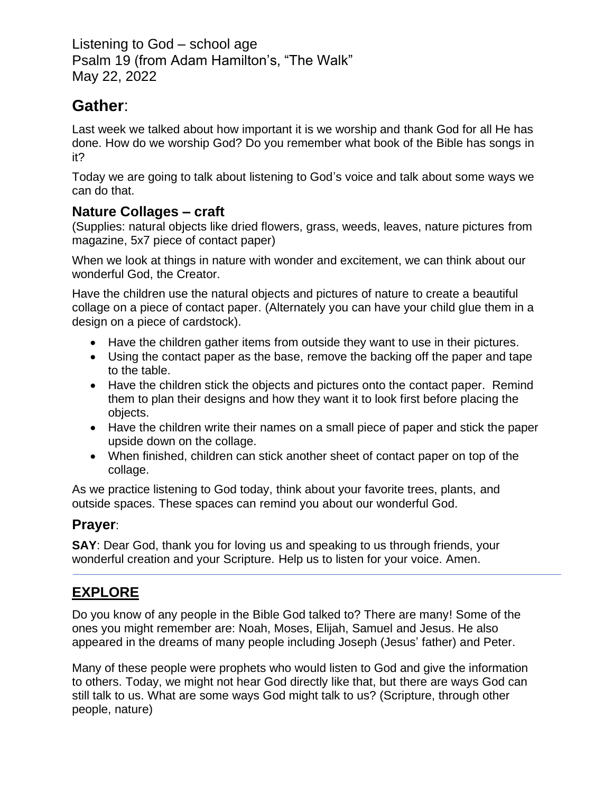Listening to God – school age Psalm 19 (from Adam Hamilton's, "The Walk" May 22, 2022

# **Gather**:

Last week we talked about how important it is we worship and thank God for all He has done. How do we worship God? Do you remember what book of the Bible has songs in it?

Today we are going to talk about listening to God's voice and talk about some ways we can do that.

### **Nature Collages – craft**

(Supplies: natural objects like dried flowers, grass, weeds, leaves, nature pictures from magazine, 5x7 piece of contact paper)

When we look at things in nature with wonder and excitement, we can think about our wonderful God, the Creator.

Have the children use the natural objects and pictures of nature to create a beautiful collage on a piece of contact paper. (Alternately you can have your child glue them in a design on a piece of cardstock).

- Have the children gather items from outside they want to use in their pictures.
- Using the contact paper as the base, remove the backing off the paper and tape to the table.
- Have the children stick the objects and pictures onto the contact paper. Remind them to plan their designs and how they want it to look first before placing the objects.
- Have the children write their names on a small piece of paper and stick the paper upside down on the collage.
- When finished, children can stick another sheet of contact paper on top of the collage.

As we practice listening to God today, think about your favorite trees, plants, and outside spaces. These spaces can remind you about our wonderful God.

## **Prayer**:

**SAY**: Dear God, thank you for loving us and speaking to us through friends, your wonderful creation and your Scripture. Help us to listen for your voice. Amen.

## **EXPLORE**

Do you know of any people in the Bible God talked to? There are many! Some of the ones you might remember are: Noah, Moses, Elijah, Samuel and Jesus. He also appeared in the dreams of many people including Joseph (Jesus' father) and Peter.

Many of these people were prophets who would listen to God and give the information to others. Today, we might not hear God directly like that, but there are ways God can still talk to us. What are some ways God might talk to us? (Scripture, through other people, nature)